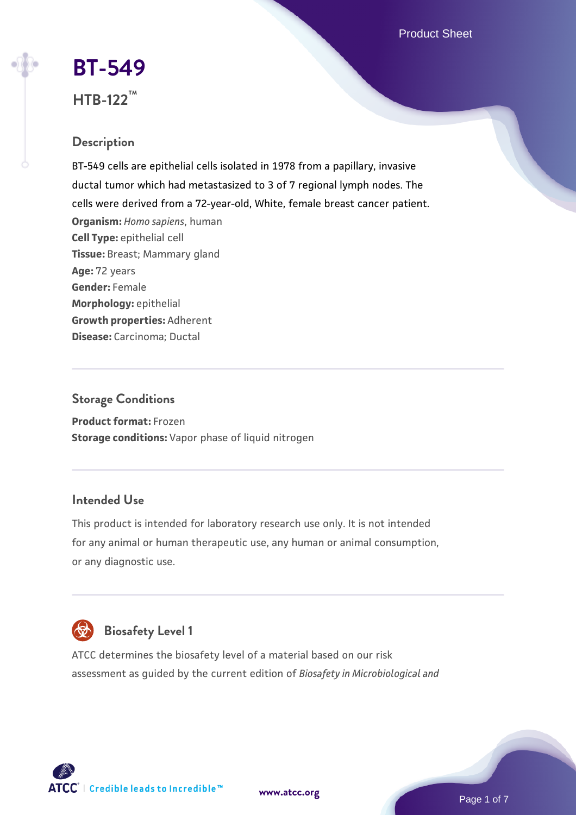Product Sheet

# **[BT-549](https://www.atcc.org/products/htb-122)**

## **HTB-122™**

## **Description**

BT-549 cells are epithelial cells isolated in 1978 from a papillary, invasive ductal tumor which had metastasized to 3 of 7 regional lymph nodes. The cells were derived from a 72-year-old, White, female breast cancer patient. **Organism:** *Homo sapiens*, human **Cell Type:** epithelial cell **Tissue:** Breast; Mammary gland **Age:** 72 years **Gender:** Female **Morphology:** epithelial **Growth properties:** Adherent **Disease:** Carcinoma; Ductal

## **Storage Conditions**

**Product format:** Frozen **Storage conditions:** Vapor phase of liquid nitrogen

## **Intended Use**

This product is intended for laboratory research use only. It is not intended for any animal or human therapeutic use, any human or animal consumption, or any diagnostic use.



ATCC determines the biosafety level of a material based on our risk assessment as guided by the current edition of *Biosafety in Microbiological and*

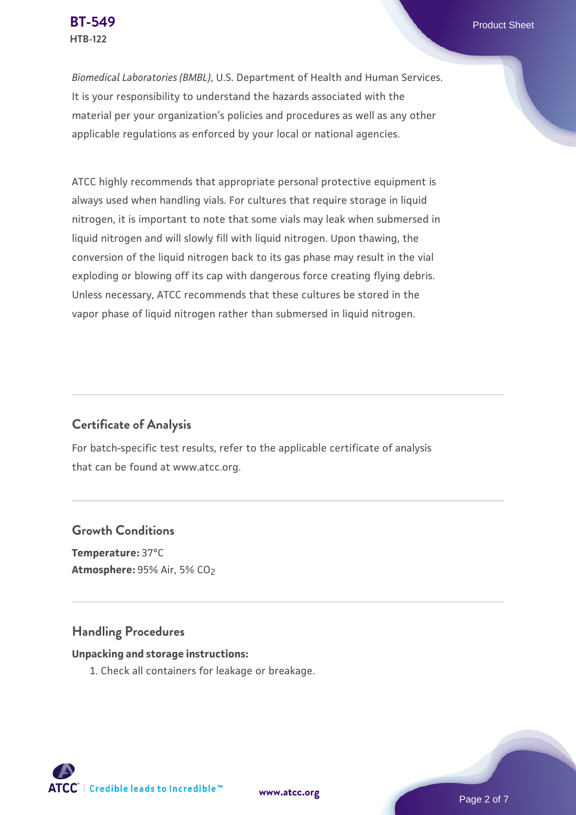*Biomedical Laboratories (BMBL)*, U.S. Department of Health and Human Services. It is your responsibility to understand the hazards associated with the material per your organization's policies and procedures as well as any other applicable regulations as enforced by your local or national agencies.

ATCC highly recommends that appropriate personal protective equipment is always used when handling vials. For cultures that require storage in liquid nitrogen, it is important to note that some vials may leak when submersed in liquid nitrogen and will slowly fill with liquid nitrogen. Upon thawing, the conversion of the liquid nitrogen back to its gas phase may result in the vial exploding or blowing off its cap with dangerous force creating flying debris. Unless necessary, ATCC recommends that these cultures be stored in the vapor phase of liquid nitrogen rather than submersed in liquid nitrogen.

## **Certificate of Analysis**

For batch-specific test results, refer to the applicable certificate of analysis that can be found at www.atcc.org.

## **Growth Conditions**

**Temperature:** 37°C **Atmosphere: 95% Air, 5% CO<sub>2</sub>** 

## **Handling Procedures**

#### **Unpacking and storage instructions:**

1. Check all containers for leakage or breakage.

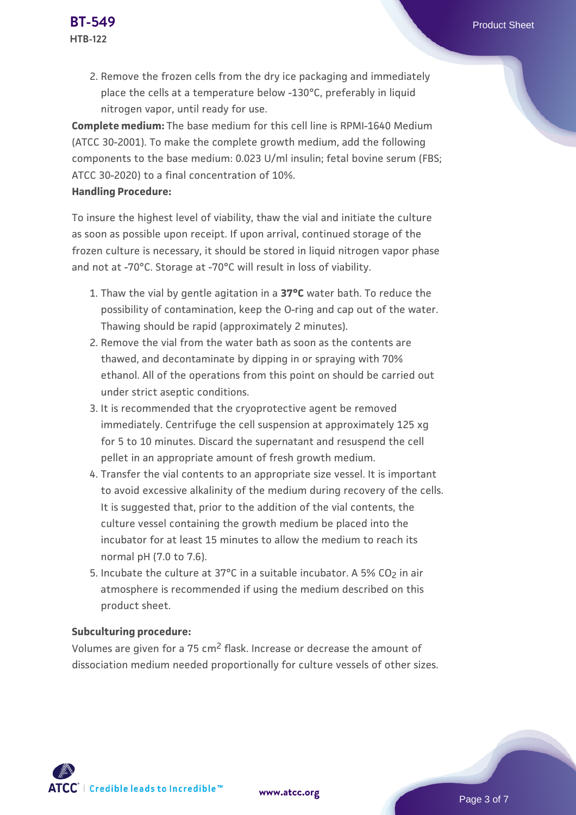2. Remove the frozen cells from the dry ice packaging and immediately place the cells at a temperature below -130°C, preferably in liquid nitrogen vapor, until ready for use.

**Complete medium:** The base medium for this cell line is RPMI-1640 Medium (ATCC 30-2001). To make the complete growth medium, add the following components to the base medium: 0.023 U/ml insulin; fetal bovine serum (FBS; ATCC 30-2020) to a final concentration of 10%.

#### **Handling Procedure:**

To insure the highest level of viability, thaw the vial and initiate the culture as soon as possible upon receipt. If upon arrival, continued storage of the frozen culture is necessary, it should be stored in liquid nitrogen vapor phase and not at -70°C. Storage at -70°C will result in loss of viability.

- 1. Thaw the vial by gentle agitation in a **37°C** water bath. To reduce the possibility of contamination, keep the O-ring and cap out of the water. Thawing should be rapid (approximately 2 minutes).
- 2. Remove the vial from the water bath as soon as the contents are thawed, and decontaminate by dipping in or spraying with 70% ethanol. All of the operations from this point on should be carried out under strict aseptic conditions.
- 3. It is recommended that the cryoprotective agent be removed immediately. Centrifuge the cell suspension at approximately 125 xg for 5 to 10 minutes. Discard the supernatant and resuspend the cell pellet in an appropriate amount of fresh growth medium.
- 4. Transfer the vial contents to an appropriate size vessel. It is important to avoid excessive alkalinity of the medium during recovery of the cells. It is suggested that, prior to the addition of the vial contents, the culture vessel containing the growth medium be placed into the incubator for at least 15 minutes to allow the medium to reach its normal pH (7.0 to 7.6).
- 5. Incubate the culture at 37°C in a suitable incubator. A 5% CO<sub>2</sub> in air atmosphere is recommended if using the medium described on this product sheet.

#### **Subculturing procedure:**

Volumes are given for a 75 cm2 flask. Increase or decrease the amount of dissociation medium needed proportionally for culture vessels of other sizes.

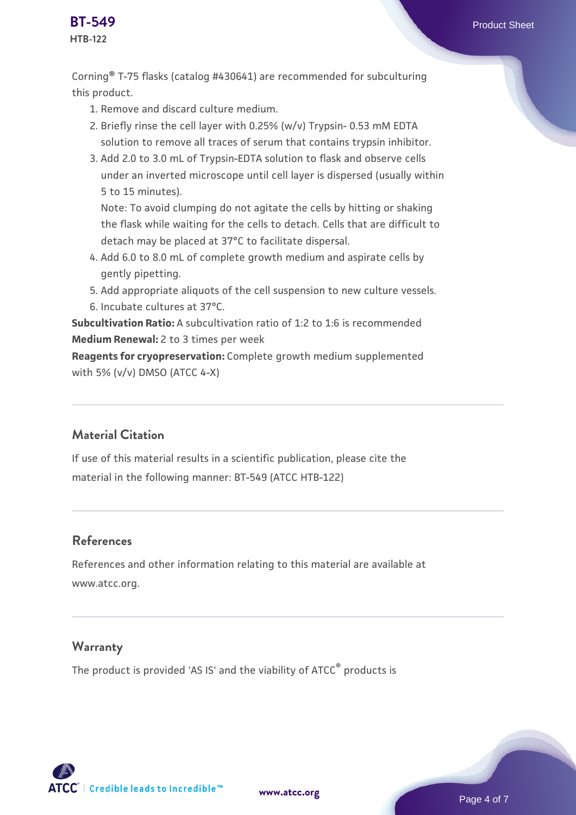

## **HTB-122**

Corning® T-75 flasks (catalog #430641) are recommended for subculturing this product.

- 1. Remove and discard culture medium.
- 2. Briefly rinse the cell layer with 0.25% (w/v) Trypsin- 0.53 mM EDTA solution to remove all traces of serum that contains trypsin inhibitor.
- 3. Add 2.0 to 3.0 mL of Trypsin-EDTA solution to flask and observe cells under an inverted microscope until cell layer is dispersed (usually within 5 to 15 minutes).

Note: To avoid clumping do not agitate the cells by hitting or shaking the flask while waiting for the cells to detach. Cells that are difficult to detach may be placed at 37°C to facilitate dispersal.

- Add 6.0 to 8.0 mL of complete growth medium and aspirate cells by 4. gently pipetting.
- 5. Add appropriate aliquots of the cell suspension to new culture vessels.
- 6. Incubate cultures at 37°C.

**Subcultivation Ratio:** A subcultivation ratio of 1:2 to 1:6 is recommended **Medium Renewal:** 2 to 3 times per week

**Reagents for cryopreservation:** Complete growth medium supplemented with 5% (v/v) DMSO (ATCC 4-X)

## **Material Citation**

If use of this material results in a scientific publication, please cite the material in the following manner: BT-549 (ATCC HTB-122)

## **References**

References and other information relating to this material are available at www.atcc.org.

## **Warranty**

The product is provided 'AS IS' and the viability of ATCC® products is

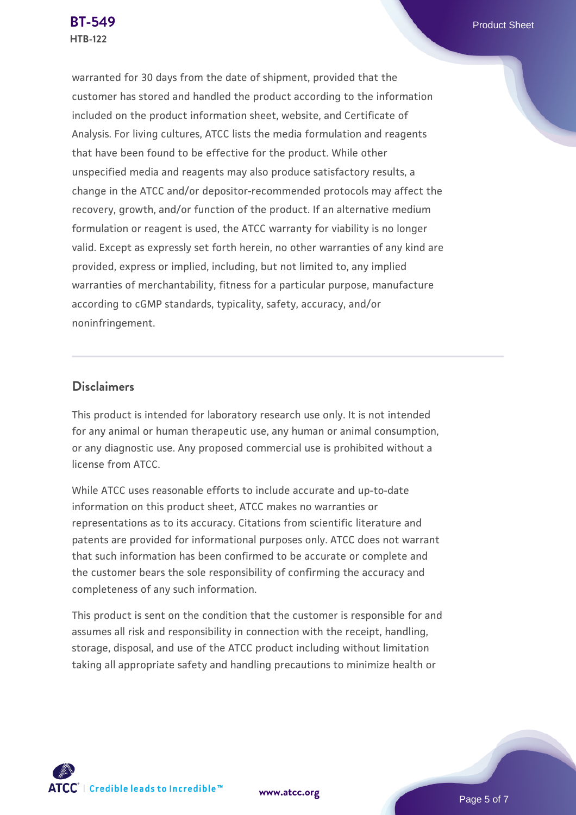warranted for 30 days from the date of shipment, provided that the customer has stored and handled the product according to the information included on the product information sheet, website, and Certificate of Analysis. For living cultures, ATCC lists the media formulation and reagents that have been found to be effective for the product. While other unspecified media and reagents may also produce satisfactory results, a change in the ATCC and/or depositor-recommended protocols may affect the recovery, growth, and/or function of the product. If an alternative medium formulation or reagent is used, the ATCC warranty for viability is no longer valid. Except as expressly set forth herein, no other warranties of any kind are provided, express or implied, including, but not limited to, any implied warranties of merchantability, fitness for a particular purpose, manufacture according to cGMP standards, typicality, safety, accuracy, and/or noninfringement.

### **Disclaimers**

This product is intended for laboratory research use only. It is not intended for any animal or human therapeutic use, any human or animal consumption, or any diagnostic use. Any proposed commercial use is prohibited without a license from ATCC.

While ATCC uses reasonable efforts to include accurate and up-to-date information on this product sheet, ATCC makes no warranties or representations as to its accuracy. Citations from scientific literature and patents are provided for informational purposes only. ATCC does not warrant that such information has been confirmed to be accurate or complete and the customer bears the sole responsibility of confirming the accuracy and completeness of any such information.

This product is sent on the condition that the customer is responsible for and assumes all risk and responsibility in connection with the receipt, handling, storage, disposal, and use of the ATCC product including without limitation taking all appropriate safety and handling precautions to minimize health or



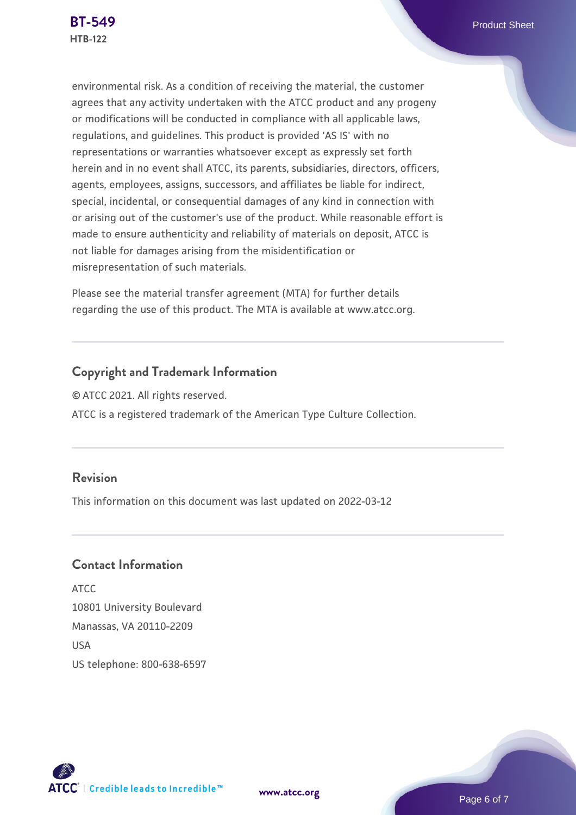environmental risk. As a condition of receiving the material, the customer agrees that any activity undertaken with the ATCC product and any progeny or modifications will be conducted in compliance with all applicable laws, regulations, and guidelines. This product is provided 'AS IS' with no representations or warranties whatsoever except as expressly set forth herein and in no event shall ATCC, its parents, subsidiaries, directors, officers, agents, employees, assigns, successors, and affiliates be liable for indirect, special, incidental, or consequential damages of any kind in connection with or arising out of the customer's use of the product. While reasonable effort is made to ensure authenticity and reliability of materials on deposit, ATCC is not liable for damages arising from the misidentification or misrepresentation of such materials.

Please see the material transfer agreement (MTA) for further details regarding the use of this product. The MTA is available at www.atcc.org.

## **Copyright and Trademark Information**

© ATCC 2021. All rights reserved. ATCC is a registered trademark of the American Type Culture Collection.

## **Revision**

This information on this document was last updated on 2022-03-12

## **Contact Information**

ATCC 10801 University Boulevard Manassas, VA 20110-2209 **IISA** US telephone: 800-638-6597